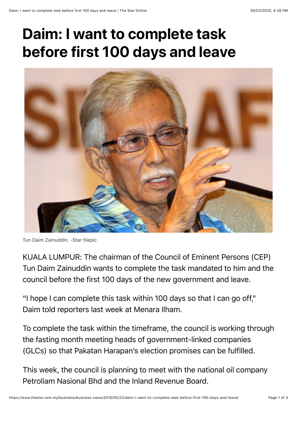## **Daim: I want to complete task before first 100 days and leave**



Tun Daim Zainuddin. -Star filepic

KUALA LUMPUR: The chairman of the Council of Eminent Persons (CEP) Tun Daim Zainuddin wants to complete the task mandated to him and the council before the first 100 days of the new government and leave.

"I hope I can complete this task within 100 days so that I can go off," Daim told reporters last week at Menara Ilham.

To complete the task within the timeframe, the council is working through the fasting month meeting heads of government-linked companies (GLCs) so that Pakatan Harapan's election promises can be fulfilled.

This week, the council is planning to meet with the national oil company Petroliam Nasional Bhd and the Inland Revenue Board.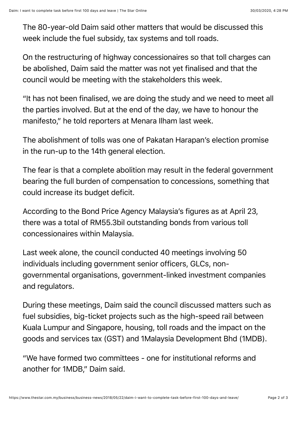The 80-year-old Daim said other matters that would be discussed this week include the fuel subsidy, tax systems and toll roads.

On the restructuring of highway concessionaires so that toll charges can be abolished, Daim said the matter was not yet finalised and that the council would be meeting with the stakeholders this week.

"It has not been finalised, we are doing the study and we need to meet all the parties involved. But at the end of the day, we have to honour the manifesto," he told reporters at Menara Ilham last week.

The abolishment of tolls was one of Pakatan Harapan's election promise in the run-up to the 14th general election.

The fear is that a complete abolition may result in the federal government bearing the full burden of compensation to concessions, something that could increase its budget deficit.

According to the Bond Price Agency Malaysia's figures as at April 23, there was a total of RM55.3bil outstanding bonds from various toll concessionaires within Malaysia.

Last week alone, the council conducted 40 meetings involving 50 individuals including government senior officers, GLCs, nongovernmental organisations, government-linked investment companies and regulators.

During these meetings, Daim said the council discussed matters such as fuel subsidies, big-ticket projects such as the high-speed rail between Kuala Lumpur and Singapore, housing, toll roads and the impact on the goods and services tax (GST) and 1Malaysia Development Bhd (1MDB).

"We have formed two committees - one for institutional reforms and another for 1MDB," Daim said.